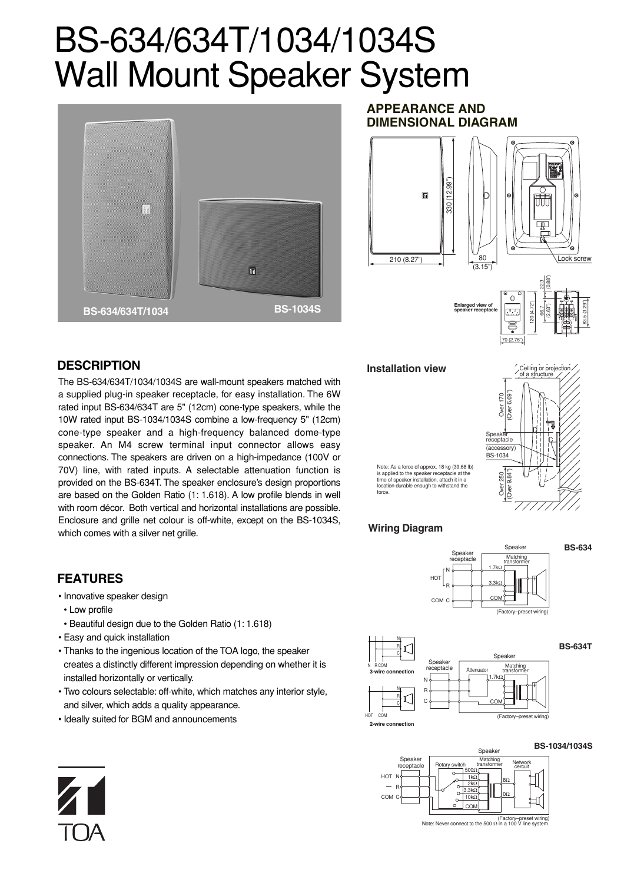# BS-634/634T/1034/1034S Wall Mount Speaker System



#### **APPEARANCE AND DIMENSIONAL DIAGRAM**



#### **DESCRIPTION**

**FEATURES**

• Low profile

• Innovative speaker design

• Easy and quick installation

installed horizontally or vertically.

and silver, which adds a quality appearance. • Ideally suited for BGM and announcements

• Beautiful design due to the Golden Ratio (1: 1.618)

• Thanks to the ingenious location of the TOA logo, the speaker creates a distinctly different impression depending on whether it is

• Two colours selectable: off-white, which matches any interior style,

The BS-634/634T/1034/1034S are wall-mount speakers matched with a supplied plug-in speaker receptacle, for easy installation. The 6W rated input BS-634/634T are 5" (12cm) cone-type speakers, while the 10W rated input BS-1034/1034S combine a low-frequency 5" (12cm) cone-type speaker and a high-frequency balanced dome-type speaker. An M4 screw terminal input connector allows easy connections. The speakers are driven on a high-impedance (100V or 70V) line, with rated inputs. A selectable attenuation function is provided on the BS-634T. The speaker enclosure's design proportions are based on the Golden Ratio (1: 1.618). A low profile blends in well with room décor. Both vertical and horizontal installations are possible. Enclosure and grille net colour is off-white, except on the BS-1034S, which comes with a silver net grille.

#### **Installation view**



Note: As a force of approx. 18 kg (39.68 lb) is applied to the speaker receptacle at the time of speaker installation, attach it in a location durable enough to withstand the force.

#### **Wiring Diagram**

N



#### (Factory–preset wiring) **3-wire connection 2-wire connection** N Attenuator 1.7kΩ COM HOT COM R COM N R C N 하시 c R Speak Spe **Predicter Matching**<br> **Predicte** Matching<br> **Attenuator** Matching transformer



**BS-634**

**BS-634T**





(Factory–preset wiring) Note: Never connect to the 500 Ω in a 100 V line system.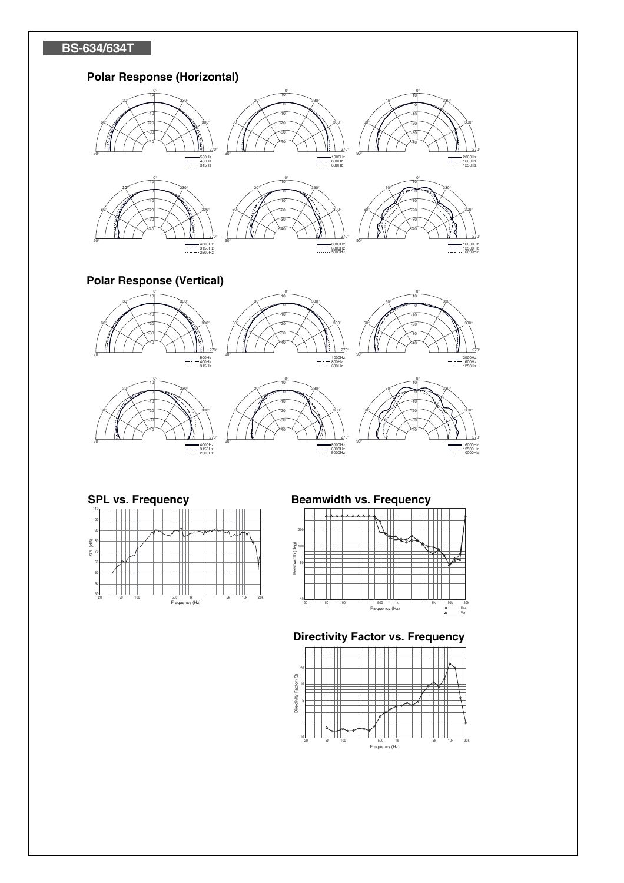# **BS-634/634T**

# **Polar Response (Horizontal)**



**Polar Response (Vertical)**







°

°

°

°

-10 -20 -30 -40

°

°

°

°



°



# 



## **SPL vs. Frequency Beamwidth vs. Frequency**

°



#### **Directivity Factor vs. Frequency**

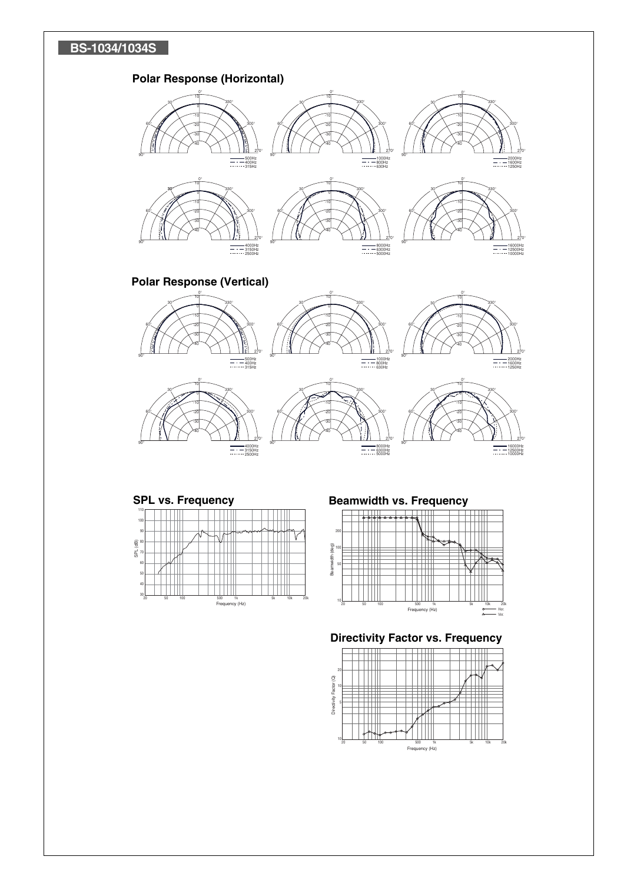# **BS-1034/1034S**

# **Polar Response (Horizontal)**



### **Polar Response (Vertical)**



4000Hz 3150Hz 2500Hz

°



16000Hz 12500Hz 10000Hz

°

°

°

°

°

2000Hz 1600Hz 1250Hz

°



°



#### **SPL vs. Frequency Beamwidth vs. Frequency**

°

1000Hz 800Hz 630Hz

°

8000Hz 6300Hz 5000Hz

°

°



## **Directivity Factor vs. Frequency**